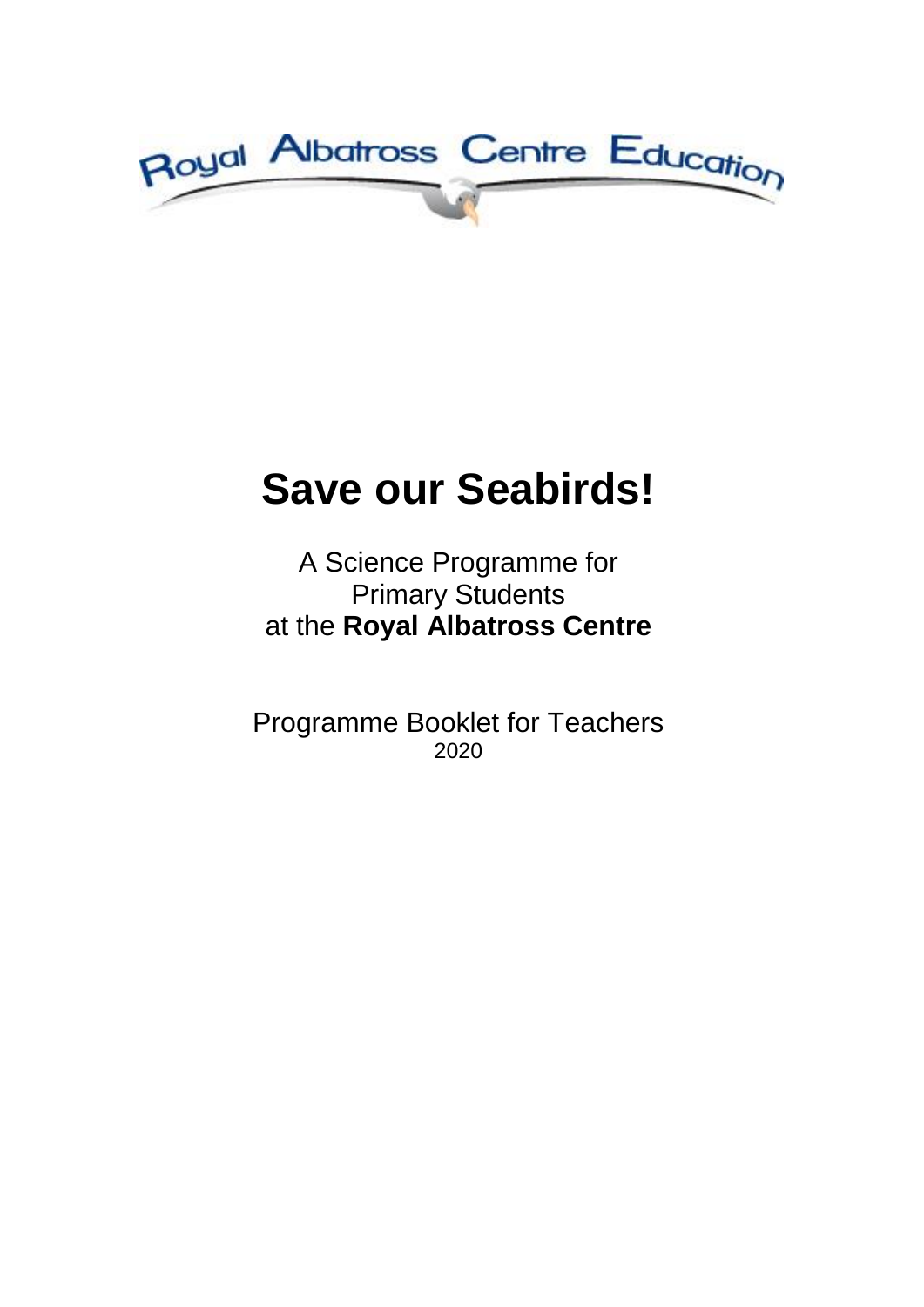

# **Save our Seabirds!**

## A Science Programme for Primary Students at the **Royal Albatross Centre**

Programme Booklet for Teachers 2020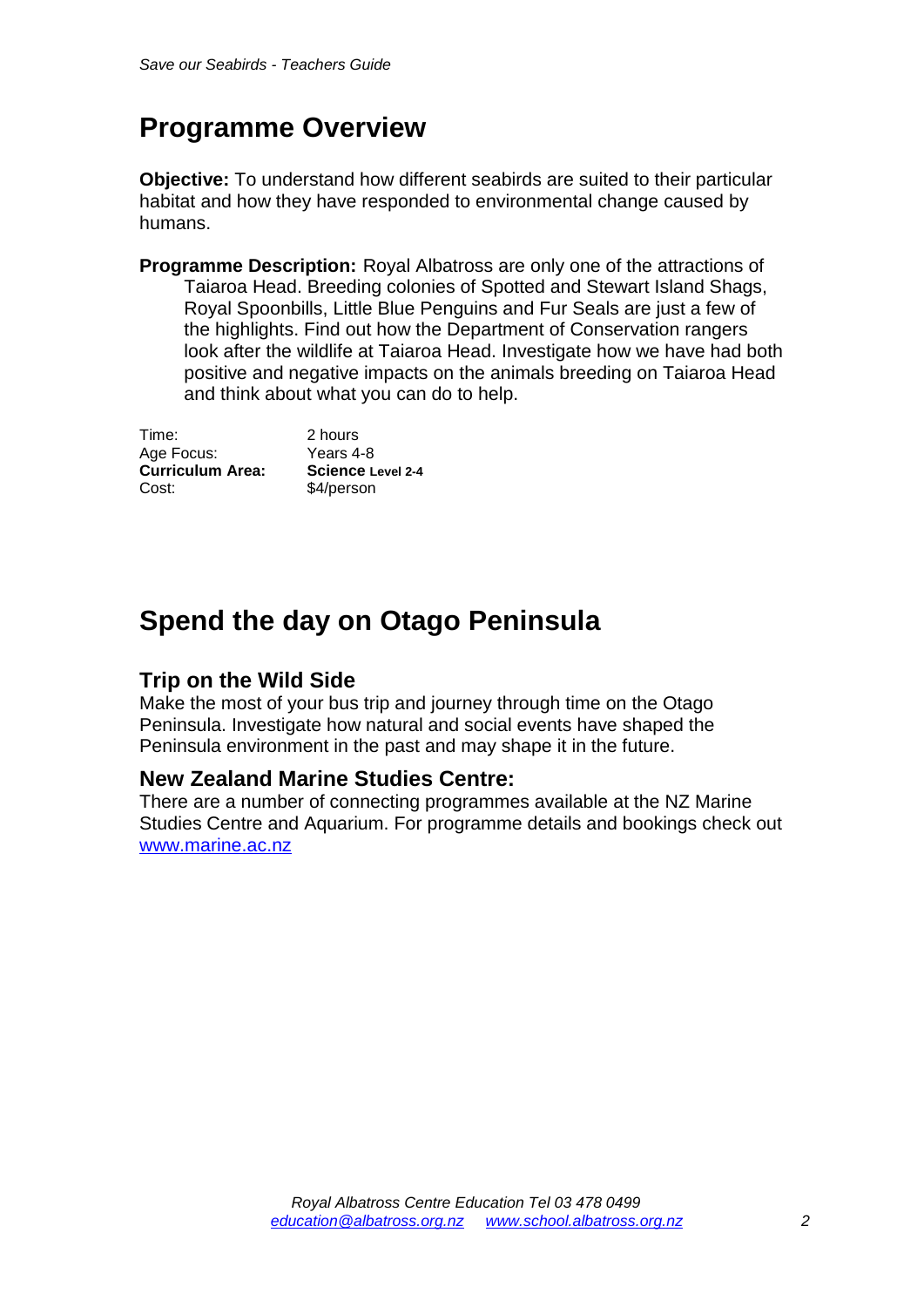## **Programme Overview**

**Objective:** To understand how different seabirds are suited to their particular habitat and how they have responded to environmental change caused by humans.

**Programme Description:** Royal Albatross are only one of the attractions of Taiaroa Head. Breeding colonies of Spotted and Stewart Island Shags, Royal Spoonbills, Little Blue Penguins and Fur Seals are just a few of the highlights. Find out how the Department of Conservation rangers look after the wildlife at Taiaroa Head. Investigate how we have had both positive and negative impacts on the animals breeding on Taiaroa Head and think about what you can do to help.

Time: 2 hours Age Focus: Years 4-8 **Curriculum Area: Science Level 2-4**  Cost: \$4/person

## **Spend the day on Otago Peninsula**

### **Trip on the Wild Side**

Make the most of your bus trip and journey through time on the Otago Peninsula. Investigate how natural and social events have shaped the Peninsula environment in the past and may shape it in the future.

#### **New Zealand Marine Studies Centre:**

There are a number of connecting programmes available at the NZ Marine Studies Centre and Aquarium. For programme details and bookings check out [www.marine.ac.nz](http://www.marine.ac.nz/)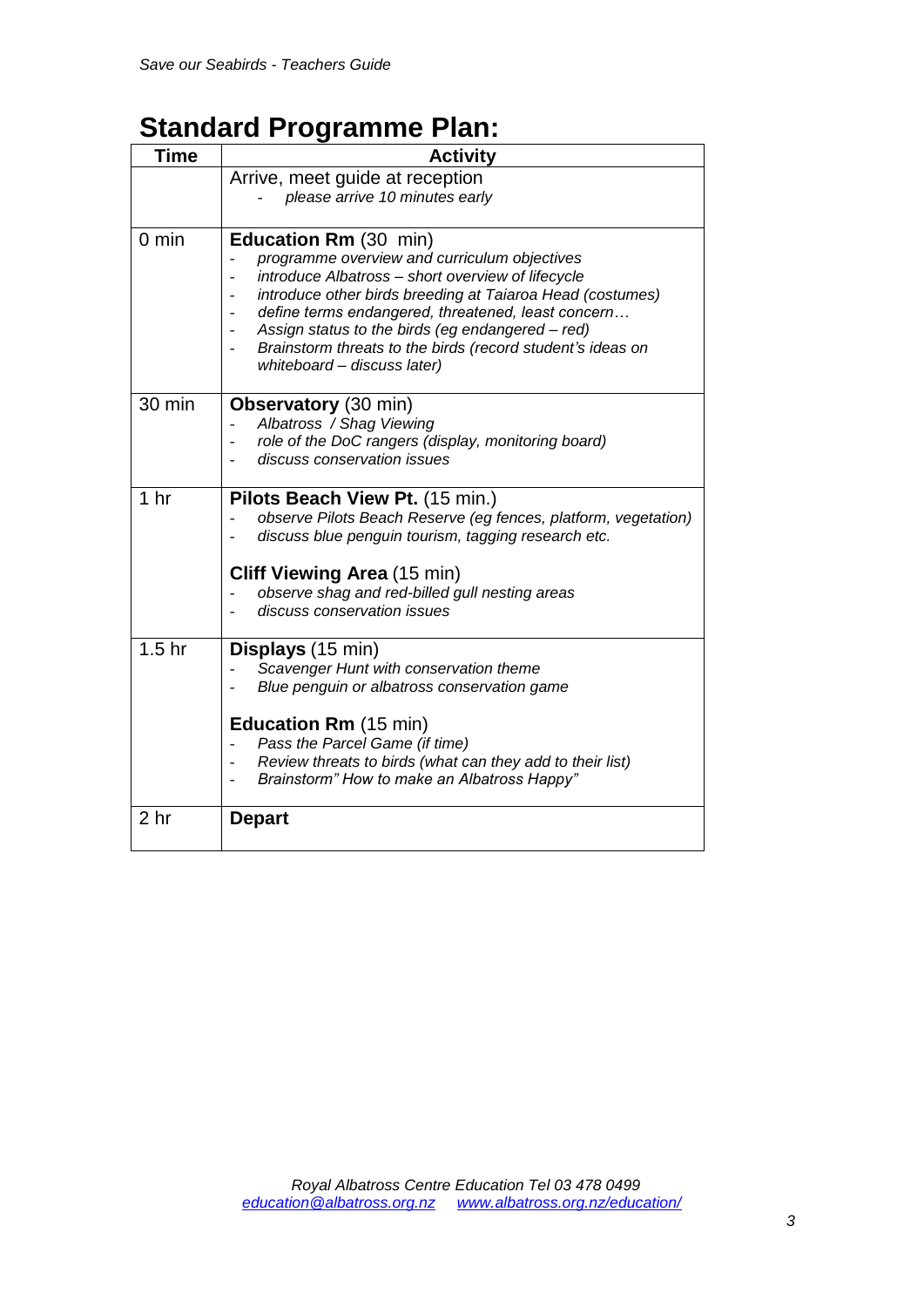## **Standard Programme Plan:**

| Time              | <b>Activity</b>                                                                                                                                                                                                                                                                                                                                                                                     |
|-------------------|-----------------------------------------------------------------------------------------------------------------------------------------------------------------------------------------------------------------------------------------------------------------------------------------------------------------------------------------------------------------------------------------------------|
|                   | Arrive, meet guide at reception                                                                                                                                                                                                                                                                                                                                                                     |
|                   | please arrive 10 minutes early                                                                                                                                                                                                                                                                                                                                                                      |
| $0 \text{ min}$   | Education Rm (30 min)<br>programme overview and curriculum objectives<br>introduce Albatross - short overview of lifecycle<br>introduce other birds breeding at Taiaroa Head (costumes)<br>define terms endangered, threatened, least concern<br>÷<br>Assign status to the birds (eg endangered - red)<br>Brainstorm threats to the birds (record student's ideas on<br>whiteboard - discuss later) |
| 30 min            | Observatory (30 min)<br>Albatross / Shag Viewing<br>role of the DoC rangers (display, monitoring board)<br>discuss conservation issues                                                                                                                                                                                                                                                              |
| 1 <sub>hr</sub>   | Pilots Beach View Pt. (15 min.)<br>observe Pilots Beach Reserve (eg fences, platform, vegetation)<br>discuss blue penguin tourism, tagging research etc.<br><b>Cliff Viewing Area (15 min)</b><br>observe shag and red-billed gull nesting areas<br>discuss conservation issues                                                                                                                     |
| 1.5 <sub>hr</sub> | Displays (15 min)<br>Scavenger Hunt with conservation theme<br>Blue penguin or albatross conservation game<br><b>Education Rm (15 min)</b><br>Pass the Parcel Game (if time)<br>Review threats to birds (what can they add to their list)<br>Brainstorm" How to make an Albatross Happy"                                                                                                            |
| 2 hr              | <b>Depart</b>                                                                                                                                                                                                                                                                                                                                                                                       |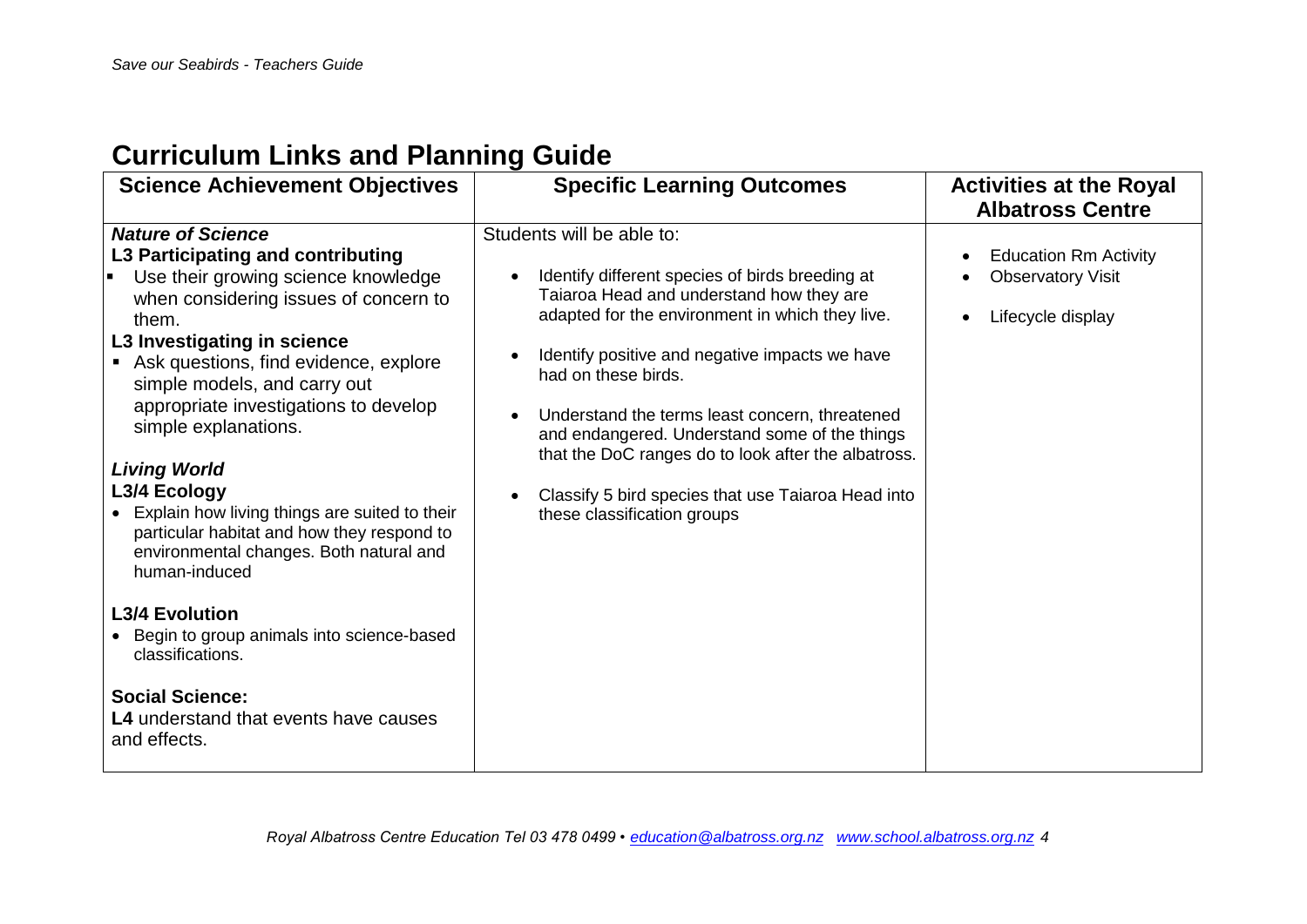## **Curriculum Links and Planning Guide**

| <b>Nature of Science</b><br>Students will be able to:<br>L3 Participating and contributing<br><b>Education Rm Activity</b><br>Identify different species of birds breeding at<br>Use their growing science knowledge<br><b>Observatory Visit</b><br>Taiaroa Head and understand how they are<br>when considering issues of concern to<br>adapted for the environment in which they live.<br>Lifecycle display<br>them.<br>L3 Investigating in science<br>Identify positive and negative impacts we have<br>Ask questions, find evidence, explore<br>had on these birds.<br>simple models, and carry out<br>appropriate investigations to develop<br>Understand the terms least concern, threatened<br>simple explanations.<br>and endangered. Understand some of the things<br>that the DoC ranges do to look after the albatross.<br><b>Living World</b><br>L3/4 Ecology<br>Classify 5 bird species that use Taiaroa Head into<br>Explain how living things are suited to their<br>these classification groups<br>particular habitat and how they respond to<br>environmental changes. Both natural and<br>human-induced<br><b>L3/4 Evolution</b><br>• Begin to group animals into science-based | <b>Science Achievement Objectives</b> | <b>Specific Learning Outcomes</b> | <b>Activities at the Royal</b><br><b>Albatross Centre</b> |
|---------------------------------------------------------------------------------------------------------------------------------------------------------------------------------------------------------------------------------------------------------------------------------------------------------------------------------------------------------------------------------------------------------------------------------------------------------------------------------------------------------------------------------------------------------------------------------------------------------------------------------------------------------------------------------------------------------------------------------------------------------------------------------------------------------------------------------------------------------------------------------------------------------------------------------------------------------------------------------------------------------------------------------------------------------------------------------------------------------------------------------------------------------------------------------------------------|---------------------------------------|-----------------------------------|-----------------------------------------------------------|
| <b>Social Science:</b><br><b>L4</b> understand that events have causes<br>and effects.                                                                                                                                                                                                                                                                                                                                                                                                                                                                                                                                                                                                                                                                                                                                                                                                                                                                                                                                                                                                                                                                                                            | classifications.                      |                                   |                                                           |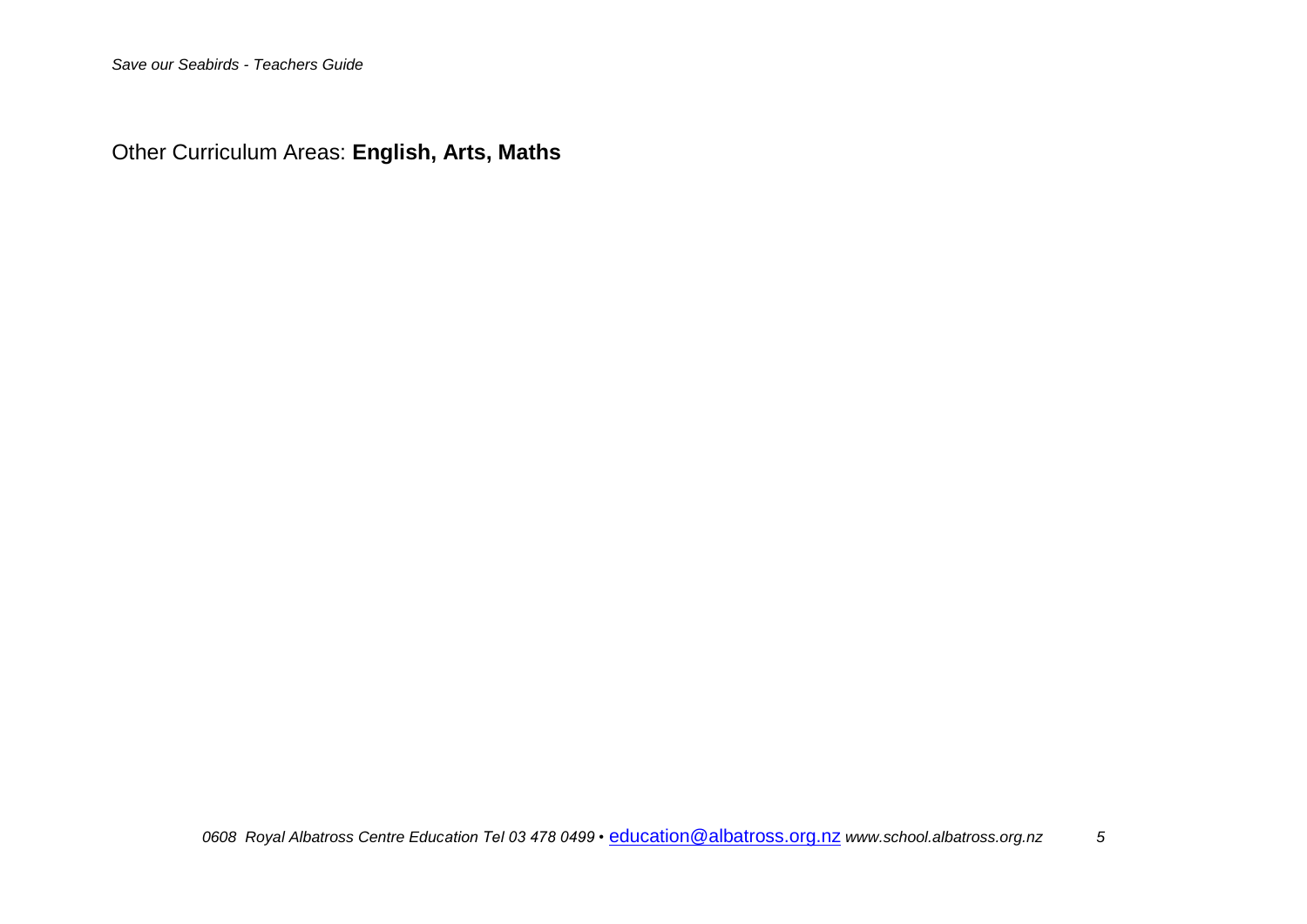Other Curriculum Areas: **English, Arts, Maths**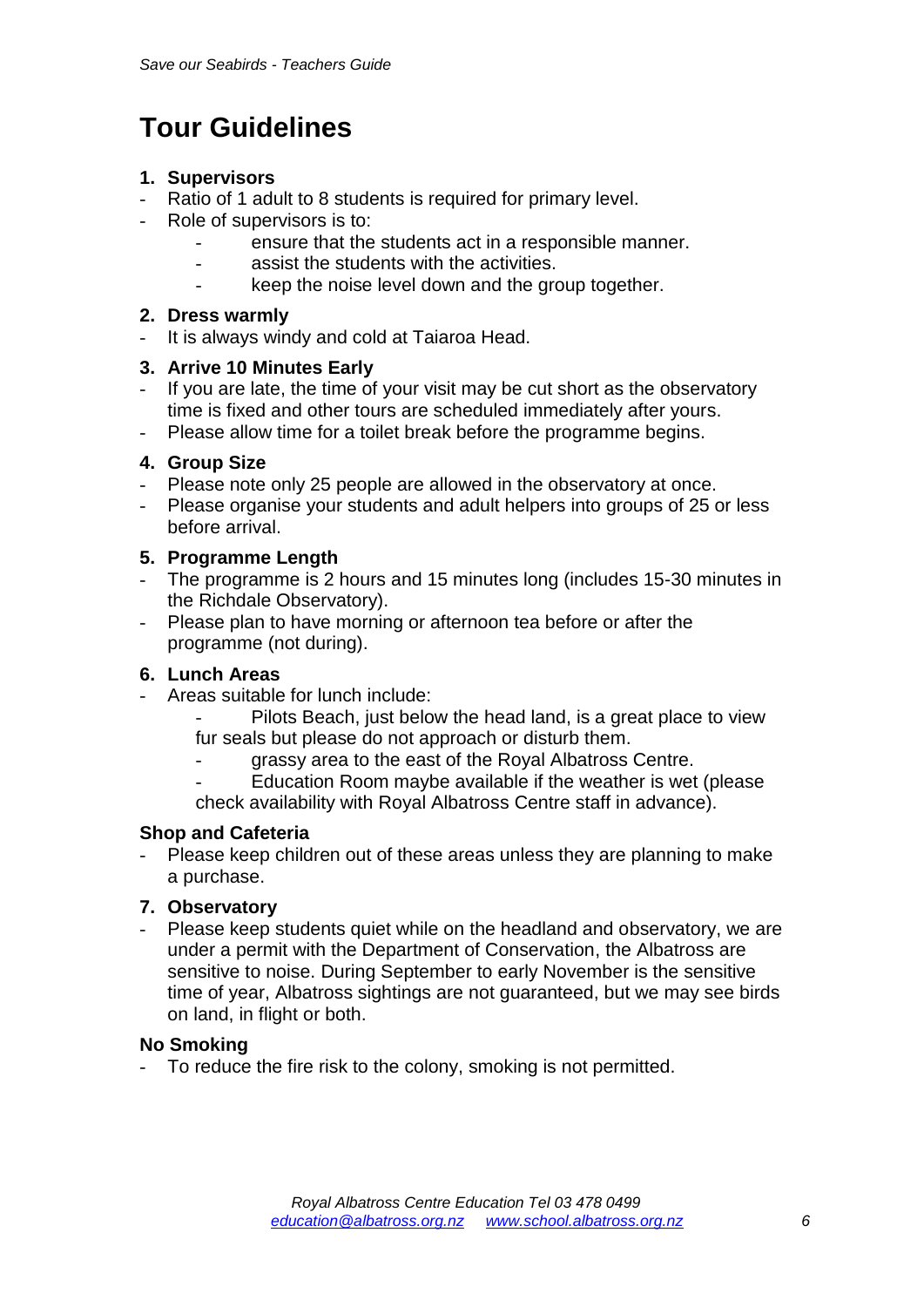## **Tour Guidelines**

#### **1. Supervisors**

- Ratio of 1 adult to 8 students is required for primary level.
- Role of supervisors is to:
	- ensure that the students act in a responsible manner.
	- assist the students with the activities.
	- keep the noise level down and the group together.

#### **2. Dress warmly**

It is always windy and cold at Taiaroa Head.

#### **3. Arrive 10 Minutes Early**

- If you are late, the time of your visit may be cut short as the observatory time is fixed and other tours are scheduled immediately after yours.
- Please allow time for a toilet break before the programme begins.

#### **4. Group Size**

- Please note only 25 people are allowed in the observatory at once.
- Please organise your students and adult helpers into groups of 25 or less before arrival.

#### **5. Programme Length**

- The programme is 2 hours and 15 minutes long (includes 15-30 minutes in the Richdale Observatory).
- Please plan to have morning or afternoon tea before or after the programme (not during).

#### **6. Lunch Areas**

- Areas suitable for lunch include:
	- Pilots Beach, just below the head land, is a great place to view fur seals but please do not approach or disturb them.
		- grassy area to the east of the Royal Albatross Centre.
	- Education Room maybe available if the weather is wet (please check availability with Royal Albatross Centre staff in advance).

#### **Shop and Cafeteria**

Please keep children out of these areas unless they are planning to make a purchase.

#### **7. Observatory**

Please keep students quiet while on the headland and observatory, we are under a permit with the Department of Conservation, the Albatross are sensitive to noise. During September to early November is the sensitive time of year, Albatross sightings are not guaranteed, but we may see birds on land, in flight or both.

#### **No Smoking**

- To reduce the fire risk to the colony, smoking is not permitted.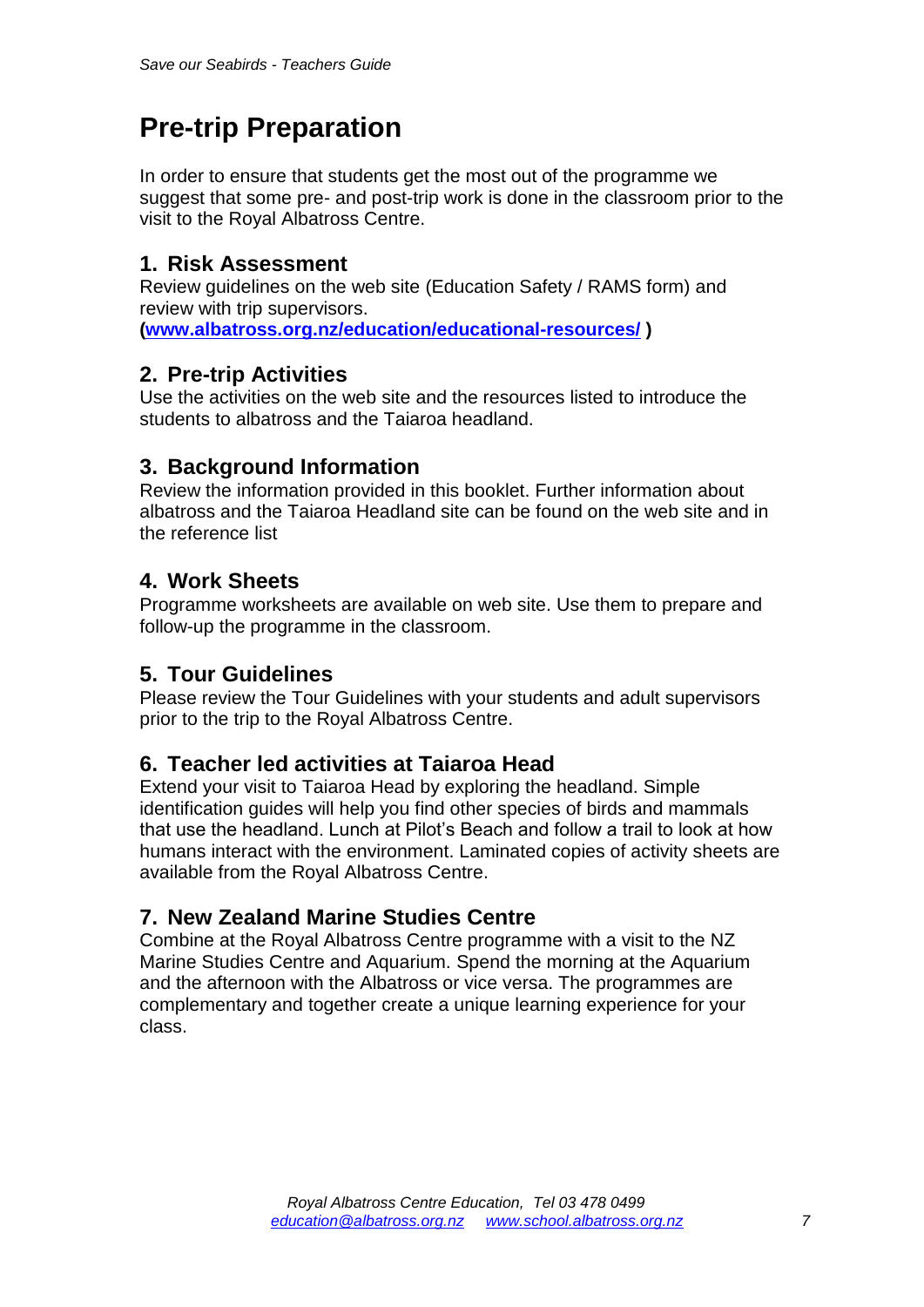## **Pre-trip Preparation**

In order to ensure that students get the most out of the programme we suggest that some pre- and post-trip work is done in the classroom prior to the visit to the Royal Albatross Centre.

### **1. Risk Assessment**

Review guidelines on the web site (Education Safety / RAMS form) and review with trip supervisors. **[\(www.albatross.org.nz/education/educational-resources/](http://www.albatross.org.nz/education/educational-resources/) )**

### **2. Pre-trip Activities**

Use the activities on the web site and the resources listed to introduce the students to albatross and the Taiaroa headland.

### **3. Background Information**

Review the information provided in this booklet. Further information about albatross and the Taiaroa Headland site can be found on the web site and in the reference list

## **4. Work Sheets**

Programme worksheets are available on web site. Use them to prepare and follow-up the programme in the classroom.

### **5. Tour Guidelines**

Please review the Tour Guidelines with your students and adult supervisors prior to the trip to the Royal Albatross Centre.

### **6. Teacher led activities at Taiaroa Head**

Extend your visit to Taiaroa Head by exploring the headland. Simple identification guides will help you find other species of birds and mammals that use the headland. Lunch at Pilot's Beach and follow a trail to look at how humans interact with the environment. Laminated copies of activity sheets are available from the Royal Albatross Centre.

## **7. New Zealand Marine Studies Centre**

Combine at the Royal Albatross Centre programme with a visit to the NZ Marine Studies Centre and Aquarium. Spend the morning at the Aquarium and the afternoon with the Albatross or vice versa. The programmes are complementary and together create a unique learning experience for your class.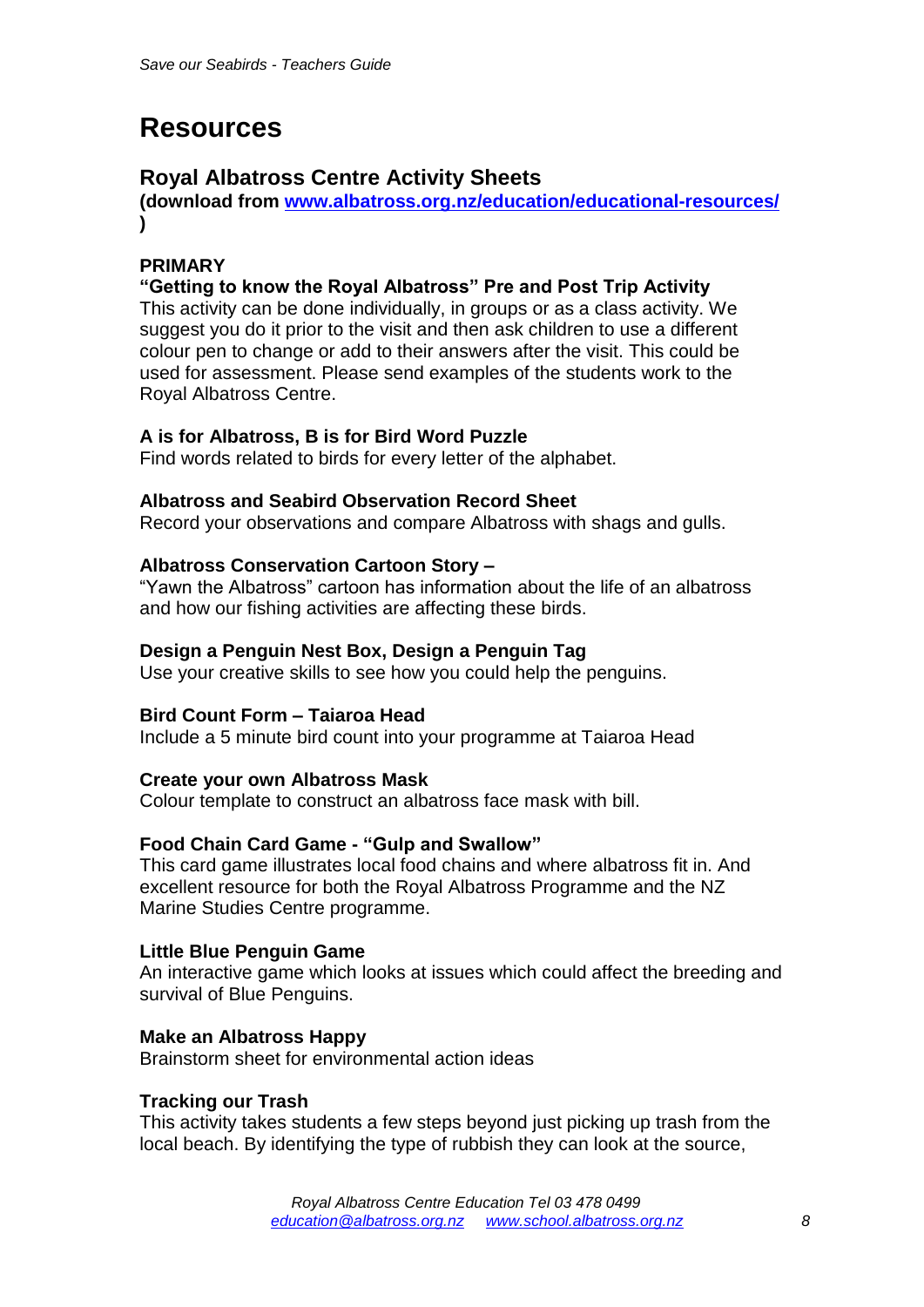## **Resources**

### **Royal Albatross Centre Activity Sheets**

**(download from [www.albatross.org.nz/education/educational-resources/](http://albatross.org.nz/education/educational-resources/) )**

#### **PRIMARY**

#### **"Getting to know the Royal Albatross" Pre and Post Trip Activity**

This activity can be done individually, in groups or as a class activity. We suggest you do it prior to the visit and then ask children to use a different colour pen to change or add to their answers after the visit. This could be used for assessment. Please send examples of the students work to the Royal Albatross Centre.

#### **A is for Albatross, B is for Bird Word Puzzle**

Find words related to birds for every letter of the alphabet.

#### **Albatross and Seabird Observation Record Sheet**

Record your observations and compare Albatross with shags and gulls.

#### **Albatross Conservation Cartoon Story –**

"Yawn the Albatross" cartoon has information about the life of an albatross and how our fishing activities are affecting these birds.

#### **Design a Penguin Nest Box, Design a Penguin Tag**

Use your creative skills to see how you could help the penguins.

#### **Bird Count Form – Taiaroa Head**

Include a 5 minute bird count into your programme at Taiaroa Head

#### **Create your own Albatross Mask**

Colour template to construct an albatross face mask with bill.

#### **Food Chain Card Game - "Gulp and Swallow"**

This card game illustrates local food chains and where albatross fit in. And excellent resource for both the Royal Albatross Programme and the NZ Marine Studies Centre programme.

#### **Little Blue Penguin Game**

An interactive game which looks at issues which could affect the breeding and survival of Blue Penguins.

#### **Make an Albatross Happy**

Brainstorm sheet for environmental action ideas

#### **Tracking our Trash**

This activity takes students a few steps beyond just picking up trash from the local beach. By identifying the type of rubbish they can look at the source,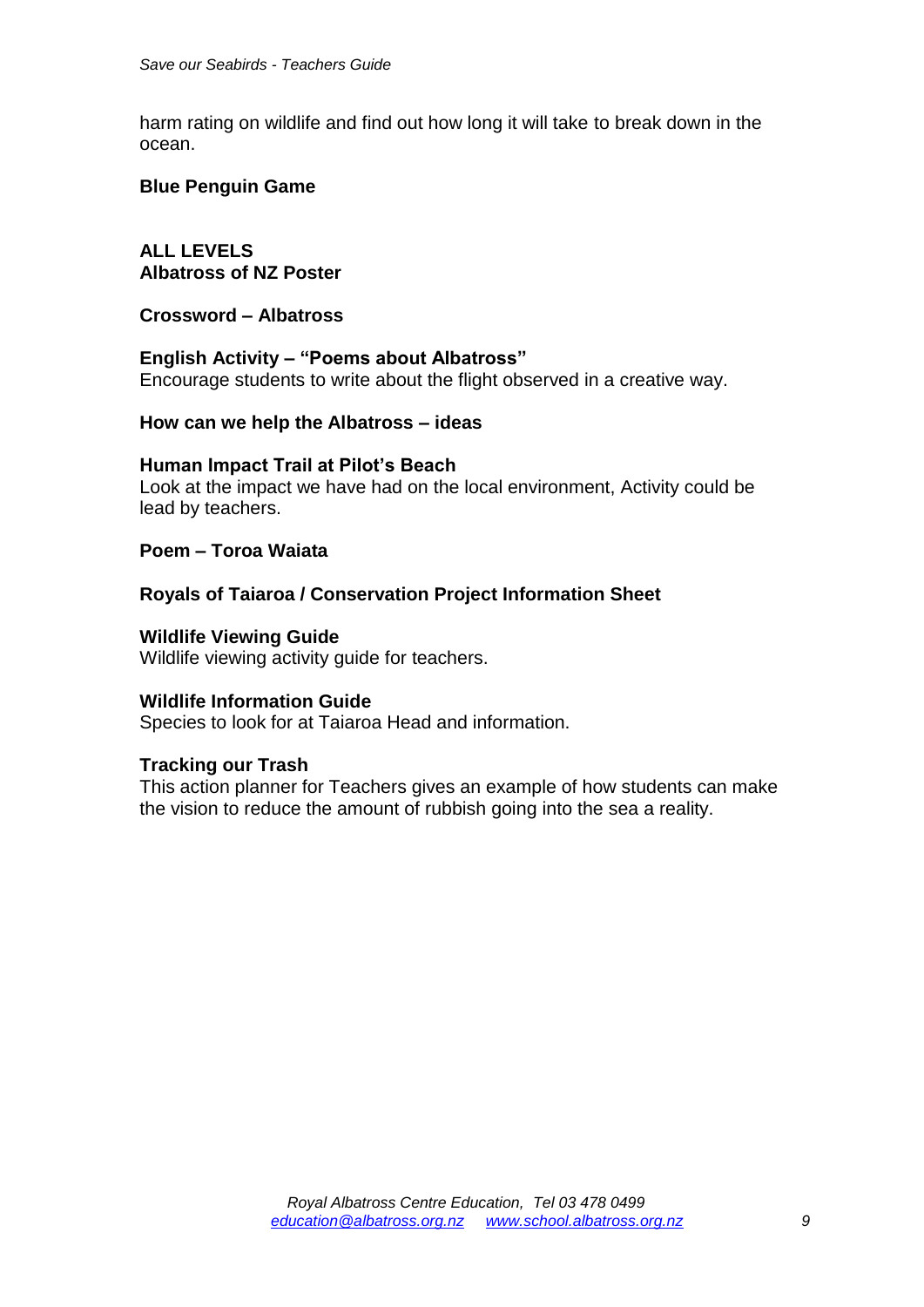harm rating on wildlife and find out how long it will take to break down in the ocean.

#### **Blue Penguin Game**

**ALL LEVELS Albatross of NZ Poster**

**Crossword – Albatross**

#### **English Activity – "Poems about Albatross"**

Encourage students to write about the flight observed in a creative way.

#### **How can we help the Albatross – ideas**

#### **Human Impact Trail at Pilot's Beach**

Look at the impact we have had on the local environment, Activity could be lead by teachers.

#### **Poem – Toroa Waiata**

#### **Royals of Taiaroa / Conservation Project Information Sheet**

**Wildlife Viewing Guide**

Wildlife viewing activity guide for teachers.

#### **Wildlife Information Guide**

Species to look for at Taiaroa Head and information.

#### **Tracking our Trash**

This action planner for Teachers gives an example of how students can make the vision to reduce the amount of rubbish going into the sea a reality.